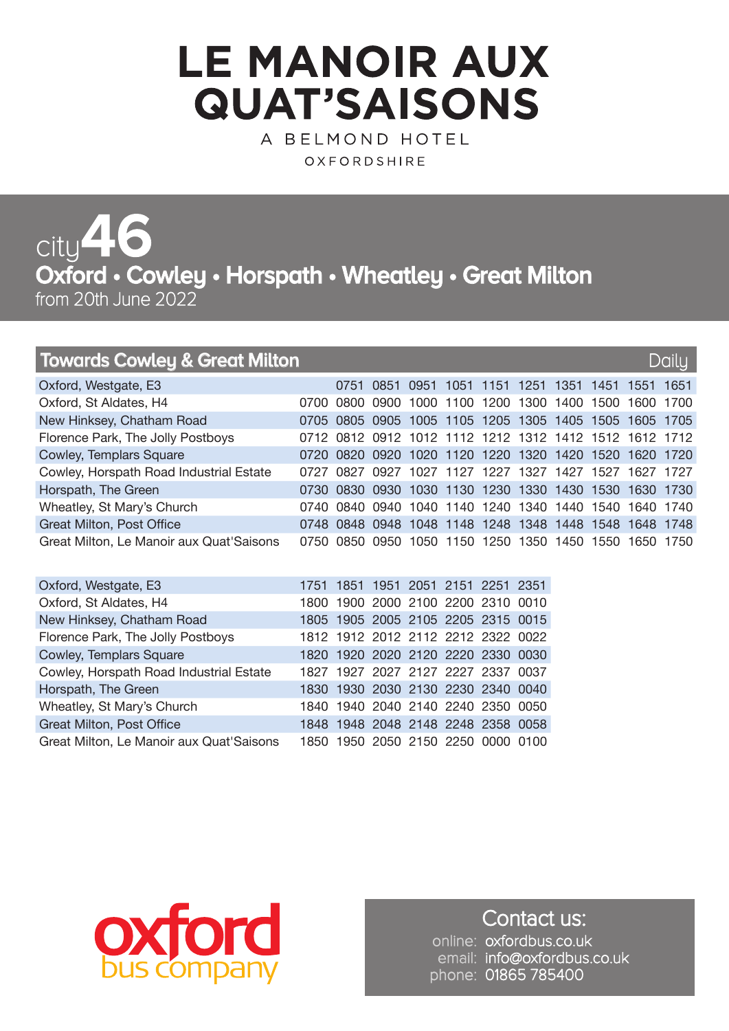## **LE MANOIR AUX QUAT'SAISONS**

A BELMOND HOTEL OXFORDSHIRE

**Oxford • Cowley • Horspath • Wheatley • Great Milton** from 20th June 2022 city**46**

## **Towards Cowley & Great Milton Daily And Allen Cowley & Great Milton Daily And Allen Communist Cowley & Great Milton**

| Oxford, Westgate, E3                     |  | 0751 0851 0951 1051 1151 1251 1351 1451 1551 1651      |  |  |  |  |
|------------------------------------------|--|--------------------------------------------------------|--|--|--|--|
| Oxford, St Aldates, H4                   |  | 0700 0800 0900 1000 1100 1200 1300 1400 1500 1600 1700 |  |  |  |  |
| New Hinksey, Chatham Road                |  | 0705 0805 0905 1005 1105 1205 1305 1405 1505 1605 1705 |  |  |  |  |
| Florence Park, The Jolly Postboys        |  | 0712 0812 0912 1012 1112 1212 1312 1412 1512 1612 1712 |  |  |  |  |
| Cowley, Templars Square                  |  | 0720 0820 0920 1020 1120 1220 1320 1420 1520 1620 1720 |  |  |  |  |
| Cowley, Horspath Road Industrial Estate  |  | 0727 0827 0927 1027 1127 1227 1327 1427 1527 1627 1727 |  |  |  |  |
| Horspath, The Green                      |  | 0730 0830 0930 1030 1130 1230 1330 1430 1530 1630 1730 |  |  |  |  |
| Wheatley, St Mary's Church               |  | 0740 0840 0940 1040 1140 1240 1340 1440 1540 1640 1740 |  |  |  |  |
| <b>Great Milton, Post Office</b>         |  | 0748 0848 0948 1048 1148 1248 1348 1448 1548 1648 1748 |  |  |  |  |
| Great Milton, Le Manoir aux Quat'Saisons |  | 0750 0850 0950 1050 1150 1250 1350 1450 1550 1650 1750 |  |  |  |  |

| Oxford, Westgate, E3                     |  |  | 1751 1851 1951 2051 2151 2251 2351 |  |
|------------------------------------------|--|--|------------------------------------|--|
| Oxford, St Aldates, H4                   |  |  | 1800 1900 2000 2100 2200 2310 0010 |  |
| New Hinksey, Chatham Road                |  |  | 1805 1905 2005 2105 2205 2315 0015 |  |
| Florence Park, The Jolly Postboys        |  |  | 1812 1912 2012 2112 2212 2322 0022 |  |
| Cowley, Templars Square                  |  |  | 1820 1920 2020 2120 2220 2330 0030 |  |
| Cowley, Horspath Road Industrial Estate  |  |  | 1827 1927 2027 2127 2227 2337 0037 |  |
| Horspath, The Green                      |  |  | 1830 1930 2030 2130 2230 2340 0040 |  |
| Wheatley, St Mary's Church               |  |  | 1840 1940 2040 2140 2240 2350 0050 |  |
| <b>Great Milton, Post Office</b>         |  |  | 1848 1948 2048 2148 2248 2358 0058 |  |
| Great Milton, Le Manoir aux Quat'Saisons |  |  | 1850 1950 2050 2150 2250 0000 0100 |  |



Contact us: online: oxfordbus.co.uk email: info@oxfordbus.co.uk phone: 01865 785400